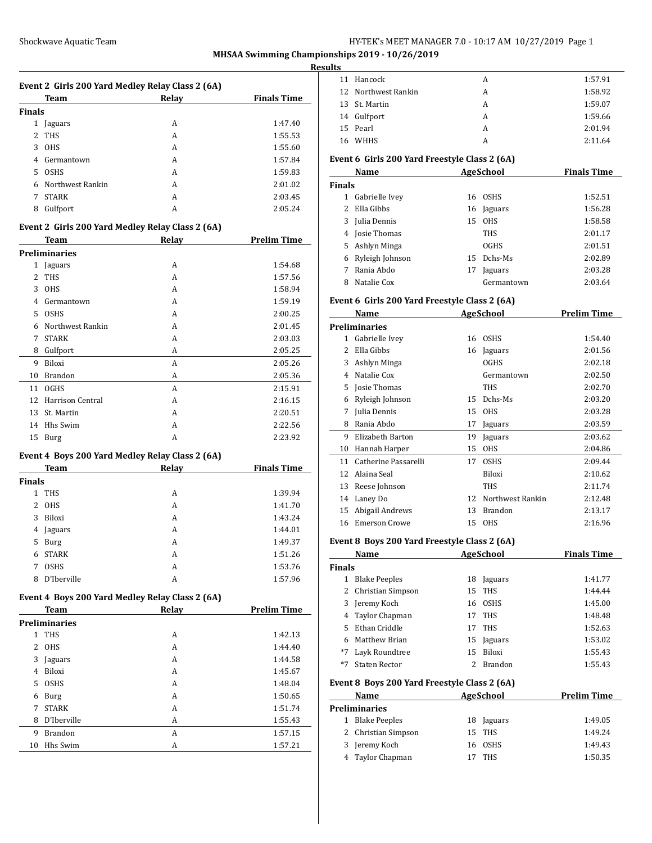#### Shockwave Aquatic Team **HY-TEK's MEET MANAGER 7.0 - 10:17 AM 10/27/2019** Page 1

**MHSAA Swimming Championships 2019 - 10/26/2019**

#### **Result**

|             | Event 2 Girls 200 Yard Medley Relay Class 2 (6A)<br>Team | Relay        | <b>Finals Time</b> |
|-------------|----------------------------------------------------------|--------------|--------------------|
| Finals      |                                                          |              |                    |
| 1           | Jaguars                                                  | А            | 1:47.40            |
| 2           | THS                                                      | A            | 1:55.53            |
| 3           | <b>OHS</b>                                               | A            | 1:55.60            |
|             | 4 Germantown                                             | A            | 1:57.84            |
| 5           | <b>OSHS</b>                                              | A            | 1:59.83            |
|             | 6 Northwest Rankin                                       | A            | 2:01.02            |
| $7^{\circ}$ | <b>STARK</b>                                             | A            | 2:03.45            |
|             | 8 Gulfport                                               | A            | 2:05.24            |
|             |                                                          |              |                    |
|             | Event 2 Girls 200 Yard Medley Relay Class 2 (6A)<br>Team | <b>Relay</b> | <b>Prelim Time</b> |
|             | <b>Preliminaries</b>                                     |              |                    |
|             | 1 Jaguars                                                | A            | 1:54.68            |
| 2           | THS                                                      | A            | 1:57.56            |
| 3           | <b>OHS</b>                                               | A            | 1:58.94            |
| 4           | Germantown                                               | A            | 1:59.19            |
| 5           | <b>OSHS</b>                                              | A            | 2:00.25            |
| 6           | Northwest Rankin                                         | A            | 2:01.45            |
| 7           | STARK                                                    | A            | 2:03.03            |
| 8           | Gulfport                                                 | А            | 2:05.25            |
| 9           | Biloxi                                                   | A            | 2:05.26            |
| 10          | Brandon                                                  | А            | 2:05.36            |
| 11          | <b>OGHS</b>                                              | A            | 2:15.91            |
|             | 12 Harrison Central                                      | A            | 2:16.15            |
| 13          | St. Martin                                               | A            | 2:20.51            |
| 14          | Hhs Swim                                                 | A            | 2:22.56            |
| 15          | Burg                                                     | A            | 2:23.92            |
|             |                                                          |              |                    |
|             | Event 4 Boys 200 Yard Medley Relay Class 2 (6A)<br>Team  | <b>Relay</b> | <b>Finals Time</b> |
| Finals      |                                                          |              |                    |
| 1           | THS                                                      | А            | 1:39.94            |
| 2           | <b>OHS</b>                                               | A            | 1:41.70            |
| 3           | Biloxi                                                   | A            | 1:43.24            |
| 4           | Jaguars                                                  | A            | 1:44.01            |
| 5           | Burg                                                     | A            | 1:49.37            |
| 6           | <b>STARK</b>                                             | A            | 1:51.26            |
| 7           | <b>OSHS</b>                                              | A            | 1:53.76            |
| 8           | D'Iberville                                              | A            | 1:57.96            |
|             | Event 4 Boys 200 Yard Medley Relay Class 2 (6A)          |              |                    |
|             | <b>Team</b>                                              | <b>Relay</b> | <b>Prelim Time</b> |
|             | <b>Preliminaries</b>                                     |              |                    |
| 1           | <b>THS</b>                                               | A            | 1:42.13            |
| 2           | <b>OHS</b>                                               | А            | 1:44.40            |
| 3           | Jaguars                                                  | А            | 1:44.58            |
| 4           | Biloxi                                                   | А            | 1:45.67            |
| 5           | <b>OSHS</b>                                              | А            | 1:48.04            |
| 6           | Burg                                                     | A            | 1:50.65            |
| 7           | STARK                                                    | A            | 1:51.74            |
| 8           | D'Iberville                                              | A            | 1:55.43            |
| 9           | <b>Brandon</b>                                           | A            | 1:57.15            |
| 10          | Hhs Swim                                                 | A            | 1:57.21            |
|             |                                                          |              |                    |

| sults         |                                                      |          |                       |                    |
|---------------|------------------------------------------------------|----------|-----------------------|--------------------|
| 11            | Hancock                                              |          | A                     | 1:57.91            |
| 12            | Northwest Rankin                                     |          | A                     | 1:58.92            |
| 13            | St. Martin                                           |          | A                     | 1:59.07            |
|               | 14 Gulfport                                          |          | A                     | 1:59.66            |
|               | 15 Pearl                                             |          | A                     | 2:01.94            |
|               | 16 WHHS                                              |          | A                     | 2:11.64            |
|               | Event 6 Girls 200 Yard Freestyle Class 2 (6A)        |          |                       |                    |
|               | AgeSchool<br>Name                                    |          |                       | <b>Finals Time</b> |
| <b>Finals</b> |                                                      |          | 16 OSHS               |                    |
|               | 1 Gabrielle Ivey<br>2 Ella Gibbs                     |          |                       | 1:52.51            |
|               |                                                      |          | 16 Jaguars            | 1:56.28            |
|               | 3 Julia Dennis                                       |          | 15 OHS                | 1:58.58            |
|               | 4 Josie Thomas                                       |          | <b>THS</b>            | 2:01.17            |
|               | 5 Ashlyn Minga                                       |          | <b>OGHS</b>           | 2:01.51            |
|               | 6 Ryleigh Johnson                                    |          | 15 Dchs-Ms            | 2:02.89            |
| 8             | 7 Rania Abdo<br>Natalie Cox                          | 17       | Jaguars<br>Germantown | 2:03.28<br>2:03.64 |
|               |                                                      |          |                       |                    |
|               | Event 6 Girls 200 Yard Freestyle Class 2 (6A)        |          |                       |                    |
|               | Name                                                 |          | <b>AgeSchool</b>      | <b>Prelim Time</b> |
|               | <b>Preliminaries</b>                                 |          |                       |                    |
|               | 1 Gabrielle Ivev                                     |          | 16 OSHS               | 1:54.40            |
|               | 2 Ella Gibbs                                         |          | 16 Jaguars            | 2:01.56            |
|               | 3 Ashlyn Minga                                       |          | <b>OGHS</b>           | 2:02.18            |
|               | 4 Natalie Cox                                        |          | Germantown            | 2:02.50            |
|               | 5 Josie Thomas                                       |          | <b>THS</b>            | 2:02.70            |
|               | 6 Ryleigh Johnson                                    |          | 15 Dchs-Ms            | 2:03.20            |
|               | 7 Julia Dennis                                       |          | 15 OHS                | 2:03.28            |
|               | 8 Rania Abdo                                         |          | 17 Jaguars            | 2:03.59            |
|               | 9 Elizabeth Barton                                   |          | 19 Jaguars            | 2:03.62            |
|               | 10 Hannah Harper                                     |          | 15 OHS                | 2:04.86            |
|               | 11 Catherine Passarelli                              |          | 17 OSHS               | 2:09.44            |
|               | 12 Alaina Seal                                       |          | Biloxi                | 2:10.62            |
|               | 13 Reese Johnson                                     |          | <b>THS</b>            | 2:11.74            |
|               | 14 Laney Do                                          |          | 12 Northwest Rankin   | 2:12.48            |
|               | 15 Abigail Andrews                                   |          | 13 Brandon<br>15 OHS  | 2:13.17            |
|               | 16 Emerson Crowe                                     |          |                       | 2:16.96            |
|               | Event 8 Boys 200 Yard Freestyle Class 2 (6A)         |          |                       |                    |
|               | Name                                                 |          | <b>AgeSchool</b>      | <b>Finals Time</b> |
| Finals        |                                                      |          |                       |                    |
|               | 1 Blake Peeples                                      | 18       | Jaguars               | 1:41.77            |
| $\mathbf{2}$  | Christian Simpson                                    | 15       | THS                   | 1:44.44            |
|               | 3 Jeremy Koch                                        |          | 16 OSHS               | 1:45.00            |
|               | 4 Taylor Chapman                                     | 17       | <b>THS</b>            | 1:48.48            |
|               | 5 Ethan Criddle                                      | 17       | THS                   | 1:52.63            |
|               | 6 Matthew Brian                                      |          | 15 Jaguars            | 1:53.02            |
| *7            | Layk Roundtree                                       |          | 15 Biloxi             | 1:55.43            |
| *7            | <b>Staten Rector</b>                                 | 2        | Brandon               | 1:55.43            |
|               | Event 8 Boys 200 Yard Freestyle Class 2 (6A)<br>Name |          | AgeSchool             | <b>Prelim Time</b> |
|               | <b>Preliminaries</b>                                 |          |                       |                    |
|               | 1 Blake Peeples                                      |          | 18 Jaguars            | 1:49.05            |
| 2             | Christian Simpson                                    | 15       | THS                   | 1:49.24            |
|               |                                                      |          |                       |                    |
|               |                                                      |          |                       |                    |
| 4             | 3 Jeremy Koch<br>Taylor Chapman                      | 16<br>17 | <b>OSHS</b><br>THS    | 1:49.43<br>1:50.35 |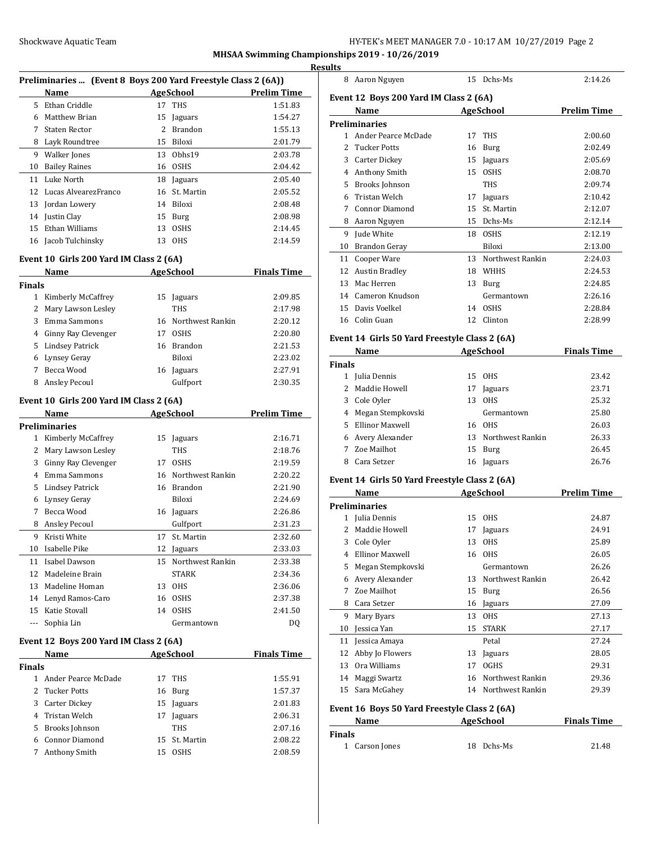| HY-TEK's MEET MANAGER 7.0 - 10:17 AM 10/27/2019 Page 2 |  |  |  |
|--------------------------------------------------------|--|--|--|
|--------------------------------------------------------|--|--|--|

|    |                                                               |    |                  |                    | <b>Results</b>      |
|----|---------------------------------------------------------------|----|------------------|--------------------|---------------------|
|    | Preliminaries  (Event 8 Boys 200 Yard Freestyle Class 2 (6A)) |    |                  |                    | 8                   |
|    | Name                                                          |    | <b>AgeSchool</b> | <b>Prelim Time</b> | Even                |
|    | 5 Ethan Criddle                                               | 17 | <b>THS</b>       | 1:51.83            |                     |
| 6  | Matthew Brian                                                 | 15 | Jaguars          | 1:54.27            |                     |
| 7  | Staten Rector                                                 | 2  | Brandon          | 1:55.13            | Preli               |
| 8  | Layk Roundtree                                                | 15 | <b>Biloxi</b>    | 2:01.79            | 1<br>$\overline{c}$ |
| 9  | Walker Jones                                                  | 13 | Obhs19           | 2:03.78            | 3                   |
| 10 | <b>Bailey Raines</b>                                          | 16 | <b>OSHS</b>      | 2:04.42            | 4                   |
| 11 | Luke North                                                    | 18 | Jaguars          | 2:05.40            | 5                   |
|    | 12 Lucas AlvearezFranco                                       |    | 16 St. Martin    | 2:05.52            | 6                   |
|    | 13 Jordan Lowery                                              | 14 | Biloxi           | 2:08.48            | 7                   |
|    | 14 Justin Clay                                                |    | 15 Burg          | 2:08.98            | 8                   |
| 15 | Ethan Williams                                                | 13 | <b>OSHS</b>      | 2:14.45            | $\Omega$            |

#### **Event 10 Girls 200 Yard IM Class 2 (6A)**

|               | <b>Name</b>            | <b>AgeSchool</b> |                     | <b>Finals Time</b> |
|---------------|------------------------|------------------|---------------------|--------------------|
| <b>Finals</b> |                        |                  |                     |                    |
| 1             | Kimberly McCaffrey     | 15               | Jaguars             | 2:09.85            |
| 2             | Mary Lawson Lesley     |                  | <b>THS</b>          | 2:17.98            |
| 3             | Emma Sammons           |                  | 16 Northwest Rankin | 2:20.12            |
| 4             | Ginny Ray Clevenger    | 17               | <b>OSHS</b>         | 2:20.80            |
| 5             | <b>Lindsey Patrick</b> | 16               | Brandon             | 2:21.53            |
| 6             | Lynsey Geray           |                  | <b>Biloxi</b>       | 2:23.02            |
|               | Becca Wood             | 16               | Jaguars             | 2:27.91            |
| 8             | <b>Ansley Pecoul</b>   |                  | Gulfport            | 2:30.35            |

Jacob Tulchinsky 13 OHS 2:14.59

#### **Event 10 Girls 200 Yard IM Class 2 (6A)**

|    | Name                                                         |                      | <b>AgeSchool</b> | <b>Prelim Time</b> |
|----|--------------------------------------------------------------|----------------------|------------------|--------------------|
|    | Preliminaries                                                |                      |                  |                    |
|    | Kimberly McCaffrey<br>1                                      | 15                   | Jaguars          | 2:16.71            |
|    | Mary Lawson Lesley<br>2                                      |                      | <b>THS</b>       | 2:18.76            |
|    | Ginny Ray Clevenger<br>3                                     | 17                   | <b>OSHS</b>      | 2:19.59            |
|    | Emma Sammons<br>4                                            | 16                   | Northwest Rankin | 2:20.22            |
|    | 5<br><b>Lindsey Patrick</b>                                  | 16                   | <b>Brandon</b>   | 2:21.90            |
|    | Lynsey Geray<br>6                                            |                      | Biloxi           | 2:24.69            |
|    | Becca Wood<br>7                                              | 16                   | Jaguars          | 2:26.86            |
|    | <b>Ansley Pecoul</b><br>8                                    |                      | Gulfport         | 2:31.23            |
|    | Kristi White<br>9                                            | 17                   | St. Martin       | 2:32.60            |
| 10 | Isabelle Pike                                                | 12                   | Jaguars          | 2:33.03            |
| 11 | Isabel Dawson                                                | 15                   | Northwest Rankin | 2:33.38            |
| 12 | Madeleine Brain                                              |                      | STARK            | 2:34.36            |
| 13 | Madeline Homan                                               | 13                   | <b>OHS</b>       | 2:36.06            |
| 14 | Lenyd Ramos-Caro                                             | 16                   | <b>OSHS</b>      | 2:37.38            |
| 15 | Katie Stovall                                                | 14                   | <b>OSHS</b>      | 2:41.50            |
|    | Sophia Lin                                                   |                      | Germantown       | DQ                 |
|    | $\sim$ $\sim$ $\sim$ $\sim$ $\sim$ $\sim$ $\sim$<br>$\cdots$ | $\sim$ $\sim$ $\sim$ |                  |                    |

### **Event 12 Boys 200 Yard IM Class 2 (6A)**

|               | Name                | <b>AgeSchool</b> |               | <b>Finals Time</b> |
|---------------|---------------------|------------------|---------------|--------------------|
| <b>Finals</b> |                     |                  |               |                    |
|               | Ander Pearce McDade |                  | 17 THS        | 1:55.91            |
|               | 2 Tucker Potts      |                  | 16 Burg       | 1:57.37            |
|               | 3 Carter Dickey     | 15               | Jaguars       | 2:01.83            |
|               | 4 Tristan Welch     | 17               | Jaguars       | 2:06.31            |
|               | 5 Brooks Johnson    |                  | <b>THS</b>    | 2:07.16            |
| 6.            | Connor Diamond      |                  | 15 St. Martin | 2:08.22            |
|               | Anthony Smith       | 15               | <b>OSHS</b>   | 2:08.59            |

| 8             | Aaron Nguyen                                  |    | 15 Dchs-Ms          | 2:14.26            |
|---------------|-----------------------------------------------|----|---------------------|--------------------|
|               | Event 12 Boys 200 Yard IM Class 2 (6A)        |    |                     |                    |
|               | Name                                          |    | <b>AgeSchool</b>    | <b>Prelim Time</b> |
|               | <b>Preliminaries</b>                          |    |                     |                    |
| $\mathbf{1}$  | Ander Pearce McDade                           | 17 | <b>THS</b>          | 2:00.60            |
| $2^{\circ}$   | <b>Tucker Potts</b>                           |    | 16 Burg             | 2:02.49            |
|               | 3 Carter Dickey                               | 15 | Jaguars             | 2:05.69            |
|               | 4 Anthony Smith                               |    | 15 OSHS             | 2:08.70            |
|               | 5 Brooks Johnson                              |    | THS                 | 2:09.74            |
|               | 6 Tristan Welch                               | 17 | Jaguars             | 2:10.42            |
| $7^{\circ}$   | <b>Connor Diamond</b>                         |    | 15 St. Martin       | 2:12.07            |
|               | 8 Aaron Nguyen                                |    | 15 Dchs-Ms          | 2:12.14            |
|               | 9 Jude White                                  |    | 18 OSHS             | 2:12.19            |
|               | 10 Brandon Geray                              |    | <b>Biloxi</b>       | 2:13.00            |
| 11            | Cooper Ware                                   |    | 13 Northwest Rankin | 2:24.03            |
| 12            | Austin Bradley                                |    | 18 WHHS             | 2:24.53            |
| 13            | Mac Herren                                    |    | 13 Burg             | 2:24.85            |
|               | 14 Cameron Knudson                            |    | Germantown          | 2:26.16            |
| 15            | Davis Voelkel                                 |    | 14 OSHS             | 2:28.84            |
|               | 16 Colin Guan                                 | 12 | Clinton             | 2:28.99            |
|               | Event 14 Girls 50 Yard Freestyle Class 2 (6A) |    |                     |                    |
|               | Name                                          |    | <b>AgeSchool</b>    | <b>Finals Time</b> |
| <b>Finals</b> |                                               |    |                     |                    |
|               | 1 Julia Dennis                                | 15 | <b>OHS</b>          | 23.42              |
|               | 2 Maddie Howell                               | 17 | Jaguars             | 23.71              |
|               | 3 Cole Oyler                                  |    | 13 OHS              | 25.32              |
|               | 4 Megan Stempkovski                           |    | Germantown          | 25.80              |
| 5.            | Ellinor Maxwell                               |    | 16 OHS              | 26.03              |
|               | 6 Avery Alexander                             | 13 | Northwest Rankin    | 26.33              |
| 7             | Zoe Mailhot                                   | 15 | Burg                | 26.45              |
| 8             | Cara Setzer                                   |    | 16 Jaguars          | 26.76              |
|               | Event 14 Girls 50 Yard Freestyle Class 2 (6A) |    |                     |                    |
|               | Name                                          |    | <b>AgeSchool</b>    | <b>Prelim Time</b> |
|               | <b>Preliminaries</b>                          |    |                     |                    |
| 1             | Julia Dennis                                  | 15 | <b>OHS</b>          | 24.87              |

|    | Name                                         |     | <b>AgeSchool</b> | <b>Finals Time</b> |
|----|----------------------------------------------|-----|------------------|--------------------|
|    | Event 16 Boys 50 Yard Freestyle Class 2 (6A) |     |                  |                    |
| 15 | Sara McGahey                                 | 14  | Northwest Rankin | 29.39              |
| 14 | Maggi Swartz                                 | 16  | Northwest Rankin | 29.36              |
| 13 | Ora Williams                                 | 17  | <b>OGHS</b>      | 29.31              |
| 12 | Abby Jo Flowers                              | 13  | Jaguars          | 28.05              |
| 11 | Jessica Amaya                                |     | Petal            | 27.24              |
| 10 | Jessica Yan                                  | 15  | <b>STARK</b>     | 27.17              |
| 9  | Mary Byars                                   | 13  | <b>OHS</b>       | 27.13              |
| 8  | Cara Setzer                                  | 16  | Jaguars          | 27.09              |
| 7  | Zoe Mailhot                                  | 15  | Burg             | 26.56              |
| 6  | Avery Alexander                              | 13  | Northwest Rankin | 26.42              |
| 5  | Megan Stempkovski                            |     | Germantown       | 26.26              |
| 4  | Ellinor Maxwell                              | 16  | <b>OHS</b>       | 26.05              |
| 3  | Cole Oyler                                   | 13  | <b>OHS</b>       | 25.89              |
| 2  | Maddie Howell                                | 17  | Jaguars          | 24.91              |
| 1. | Julia Dennis                                 | 15. | <b>OHS</b>       | 24.87              |

| unais          |            |       |
|----------------|------------|-------|
| 1 Carson Jones | 18 Dchs-Ms | 21.48 |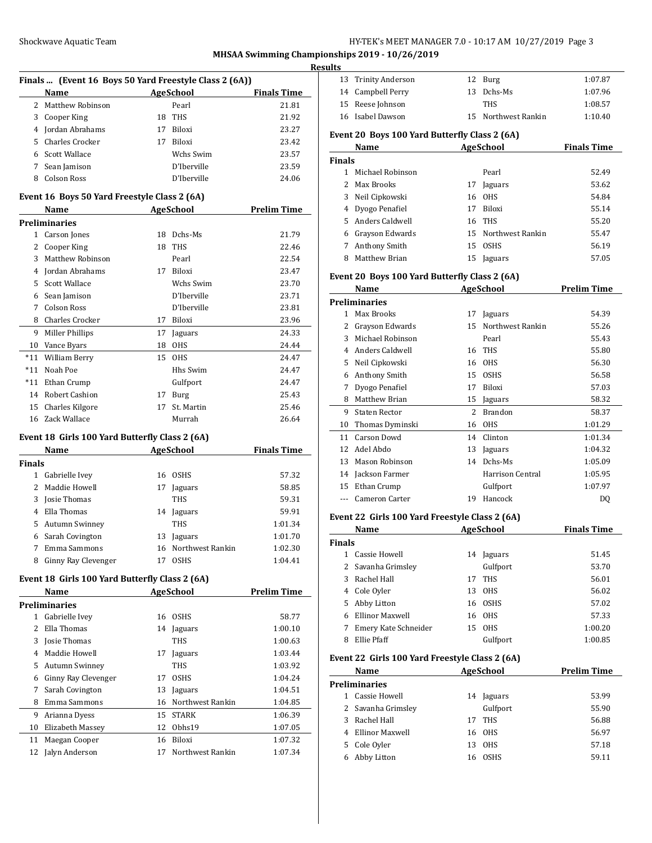#### **Results**

|    | Finals  (Event 16 Boys 50 Yard Freestyle Class 2 (6A)) |    |                  |                    |
|----|--------------------------------------------------------|----|------------------|--------------------|
|    | Name                                                   |    | <b>AgeSchool</b> | <b>Finals Time</b> |
|    | 2 Matthew Robinson                                     |    | Pearl            | 21.81              |
| 3  | Cooper King                                            | 18 | <b>THS</b>       | 21.92              |
| 4  | Jordan Abrahams                                        | 17 | <b>Biloxi</b>    | 23.27              |
| 5. | Charles Crocker                                        | 17 | <b>Biloxi</b>    | 23.42              |
| 6  | Scott Wallace                                          |    | Wchs Swim        | 23.57              |
|    | Sean Jamison                                           |    | D'Iberville      | 23.59              |
|    | Colson Ross                                            |    | D'Iberville      | 24.06              |

#### **Event 16 Boys 50 Yard Freestyle Class 2 (6A)**

|       | Name                                           |    | <b>AgeSchool</b> | Prelim Time |  |
|-------|------------------------------------------------|----|------------------|-------------|--|
|       | <b>Preliminaries</b>                           |    |                  |             |  |
| 1     | Carson Jones                                   | 18 | Dchs-Ms          | 21.79       |  |
| 2     | Cooper King                                    | 18 | <b>THS</b>       | 22.46       |  |
| 3     | Matthew Robinson                               |    | Pearl            | 22.54       |  |
| 4     | Jordan Abrahams                                | 17 | Biloxi           | 23.47       |  |
| 5     | Scott Wallace                                  |    | Wchs Swim        | 23.70       |  |
| 6     | Sean Jamison                                   |    | D'Iberville      | 23.71       |  |
| 7     | <b>Colson Ross</b>                             |    | D'Iberville      | 23.81       |  |
| 8     | <b>Charles Crocker</b>                         | 17 | Biloxi           | 23.96       |  |
| 9     | Miller Phillips                                | 17 | Jaguars          | 24.33       |  |
| 10    | Vance Byars                                    | 18 | <b>OHS</b>       | 24.44       |  |
| $*11$ | William Berry                                  | 15 | <b>OHS</b>       | 24.47       |  |
| $*11$ | Noah Poe                                       |    | Hhs Swim         | 24.47       |  |
| $*11$ | Ethan Crump                                    |    | Gulfport         | 24.47       |  |
| 14    | <b>Robert Cashion</b>                          | 17 | Burg             | 25.43       |  |
| 15    | Charles Kilgore                                | 17 | St. Martin       | 25.46       |  |
| 16    | Zack Wallace                                   |    | Murrah           | 26.64       |  |
|       | Event 18 Girls 100 Yard Butterfly Class 2 (6A) |    |                  |             |  |

# **Event 18 Girls 100 Yard Butterfly Class 2 (6A)**

|                | Name                | <b>AgeSchool</b> |                     | <b>Finals Time</b> |
|----------------|---------------------|------------------|---------------------|--------------------|
| Finals         |                     |                  |                     |                    |
|                | Gabrielle Ivev      | 16               | <b>OSHS</b>         | 57.32              |
| $\overline{2}$ | Maddie Howell       | 17               | Jaguars             | 58.85              |
| 3              | Josie Thomas        |                  | <b>THS</b>          | 59.31              |
| 4              | Ella Thomas         | 14               | Jaguars             | 59.91              |
| 5              | Autumn Swinney      |                  | <b>THS</b>          | 1:01.34            |
| 6              | Sarah Covington     | 13               | Jaguars             | 1:01.70            |
|                | Emma Sammons        |                  | 16 Northwest Rankin | 1:02.30            |
| 8              | Ginny Ray Clevenger | 17               | <b>OSHS</b>         | 1:04.41            |
|                |                     |                  |                     |                    |

## **Event 18 Girls 100 Yard Butterfly Class 2 (6A)**

|    | Name                 |    | <b>AgeSchool</b> | <b>Prelim Time</b> |
|----|----------------------|----|------------------|--------------------|
|    | <b>Preliminaries</b> |    |                  |                    |
| 1  | Gabrielle Ivev       | 16 | <b>OSHS</b>      | 58.77              |
| 2  | Ella Thomas          | 14 | Jaguars          | 1:00.10            |
| 3  | Josie Thomas         |    | <b>THS</b>       | 1:00.63            |
| 4  | Maddie Howell        | 17 | Jaguars          | 1:03.44            |
| 5  | Autumn Swinney       |    | THS              | 1:03.92            |
| 6  | Ginny Ray Clevenger  | 17 | <b>OSHS</b>      | 1:04.24            |
| 7  | Sarah Covington      | 13 | Jaguars          | 1:04.51            |
| 8  | Emma Sammons         | 16 | Northwest Rankin | 1:04.85            |
| 9  | Arianna Dyess        | 15 | <b>STARK</b>     | 1:06.39            |
| 10 | Elizabeth Massey     | 12 | Obhs19           | 1:07.05            |
| 11 | Maegan Cooper        | 16 | Biloxi           | 1:07.32            |
| 12 | Jalyn Anderson       | 17 | Northwest Rankin | 1:07.34            |

| Its                                           |                     |  |                     |         |
|-----------------------------------------------|---------------------|--|---------------------|---------|
|                                               | 13 Trinity Anderson |  | 12 Burg             | 1:07.87 |
|                                               | 14 Campbell Perry   |  | 13 Dchs-Ms          | 1:07.96 |
|                                               | 15 Reese Johnson    |  | <b>THS</b>          | 1:08.57 |
|                                               | 16 Isabel Dawson    |  | 15 Northwest Rankin | 1:10.40 |
| Event 20 Boys 100 Yard Butterfly Class 2 (6A) |                     |  |                     |         |

|               | Name              |    | <b>AgeSchool</b>    | <b>Finals Time</b> |
|---------------|-------------------|----|---------------------|--------------------|
| <b>Finals</b> |                   |    |                     |                    |
|               | Michael Robinson  |    | Pearl               | 52.49              |
| 2.            | Max Brooks        | 17 | Jaguars             | 53.62              |
| 3             | Neil Cipkowski    |    | 16 OHS              | 54.84              |
|               | 4 Dyogo Penafiel  | 17 | Biloxi              | 55.14              |
|               | 5 Anders Caldwell |    | 16 THS              | 55.20              |
| 6             | Grayson Edwards   |    | 15 Northwest Rankin | 55.47              |
| 7             | Anthony Smith     | 15 | <b>OSHS</b>         | 56.19              |
|               | Matthew Brian     | 15 | Jaguars             | 57.05              |

#### **Event 20 Boys 100 Yard Butterfly Class 2 (6A)**

|       | Name                 |    | AgeSchool        | <b>Prelim Time</b> |
|-------|----------------------|----|------------------|--------------------|
|       | Preliminaries        |    |                  |                    |
| 1     | Max Brooks           | 17 | Jaguars          | 54.39              |
| 2     | Grayson Edwards      | 15 | Northwest Rankin | 55.26              |
| 3     | Michael Robinson     |    | Pearl            | 55.43              |
| 4     | Anders Caldwell      | 16 | <b>THS</b>       | 55.80              |
| 5     | Neil Cipkowski       | 16 | <b>OHS</b>       | 56.30              |
| 6     | Anthony Smith        | 15 | <b>OSHS</b>      | 56.58              |
| 7     | Dyogo Penafiel       | 17 | Biloxi           | 57.03              |
| 8     | Matthew Brian        | 15 | Jaguars          | 58.32              |
| 9     | <b>Staten Rector</b> | 2  | <b>Brandon</b>   | 58.37              |
| 10    | Thomas Dyminski      | 16 | <b>OHS</b>       | 1:01.29            |
| 11    | <b>Carson Dowd</b>   | 14 | Clinton          | 1:01.34            |
| 12    | Adel Abdo            | 13 | Jaguars          | 1:04.32            |
| 13    | Mason Robinson       | 14 | Dchs-Ms          | 1:05.09            |
| 14    | Jackson Farmer       |    | Harrison Central | 1:05.95            |
| 15    | Ethan Crump          |    | Gulfport         | 1:07.97            |
| $---$ | Cameron Carter       | 19 | Hancock          | DQ                 |

#### **Event 22 Girls 100 Yard Freestyle Class 2 (6A)**

|               | Name                 | <b>AgeSchool</b> |             | <b>Finals Time</b> |
|---------------|----------------------|------------------|-------------|--------------------|
| <b>Finals</b> |                      |                  |             |                    |
|               | Cassie Howell        | 14               | Jaguars     | 51.45              |
|               | 2 Savanha Grimsley   |                  | Gulfport    | 53.70              |
| 3.            | Rachel Hall          | 17               | <b>THS</b>  | 56.01              |
| 4             | Cole Oyler           | 13               | OHS         | 56.02              |
| 5.            | Abby Litton          | 16               | <b>OSHS</b> | 57.02              |
|               | Ellinor Maxwell      | 16               | OHS         | 57.33              |
|               | Emery Kate Schneider | 15               | <b>OHS</b>  | 1:00.20            |
| 8             | Ellie Pfaff          |                  | Gulfport    | 1:00.85            |

#### **Event 22 Girls 100 Yard Freestyle Class 2 (6A)**

|               | Name               | <b>AgeSchool</b> |             | <b>Prelim Time</b> |  |
|---------------|--------------------|------------------|-------------|--------------------|--|
| Preliminaries |                    |                  |             |                    |  |
|               | Cassie Howell      | 14               | Jaguars     | 53.99              |  |
|               | 2 Savanha Grimsley |                  | Gulfport    | 55.90              |  |
| 3             | Rachel Hall        |                  | 17 THS      | 56.88              |  |
|               | Ellinor Maxwell    |                  | 16 OHS      | 56.97              |  |
| 5.            | Cole Oyler         | 13               | <b>OHS</b>  | 57.18              |  |
| 6             | Abby Litton        | 16               | <b>OSHS</b> | 59.11              |  |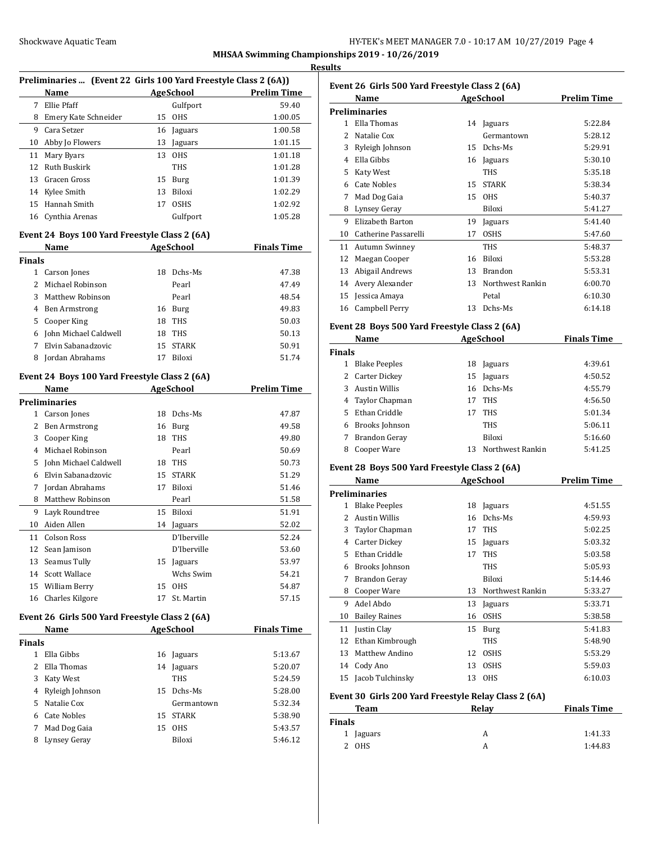#### **Results**

|     | Preliminaries  (Event 22 Girls 100 Yard Freestyle Class 2 (6A)) |                    |             |         |  |
|-----|-----------------------------------------------------------------|--------------------|-------------|---------|--|
|     | <b>Name</b>                                                     | <b>Prelim Time</b> |             |         |  |
| 7   | Ellie Pfaff                                                     |                    | Gulfport    | 59.40   |  |
| 8   | Emery Kate Schneider                                            | 15                 | <b>OHS</b>  | 1:00.05 |  |
| 9   | Cara Setzer                                                     | 16                 | Jaguars     | 1:00.58 |  |
| 10  | Abby Jo Flowers                                                 | 13                 | Jaguars     | 1:01.15 |  |
| 11  | Mary Byars                                                      | 13                 | <b>OHS</b>  | 1:01.18 |  |
|     | 12 Ruth Buskirk                                                 |                    | <b>THS</b>  | 1:01.28 |  |
|     | 13 Gracen Gross                                                 | 15                 | Burg        | 1:01.39 |  |
|     | 14 Kylee Smith                                                  | 13                 | Biloxi      | 1:02.29 |  |
| 15. | Hannah Smith                                                    | 17                 | <b>OSHS</b> | 1:02.92 |  |
| 16  | Cynthia Arenas                                                  |                    | Gulfport    | 1:05.28 |  |

# **Event 24 Boys 100 Yard Freestyle Class 2 (6A)**

|               | Name                  | <b>AgeSchool</b> |              | <b>Finals Time</b> |
|---------------|-----------------------|------------------|--------------|--------------------|
| Finals        |                       |                  |              |                    |
| 1             | Carson Jones          | 18               | Dchs-Ms      | 47.38              |
| $\mathcal{L}$ | Michael Robinson      |                  | Pearl        | 47.49              |
| 3             | Matthew Robinson      |                  | Pearl        | 48.54              |
| 4             | <b>Ben Armstrong</b>  | 16               | Burg         | 49.83              |
| 5             | Cooper King           | 18               | <b>THS</b>   | 50.03              |
| 6             | John Michael Caldwell | 18               | THS          | 50.13              |
|               | Elvin Sabanadzovic    | 15               | <b>STARK</b> | 50.91              |
| 8             | Jordan Abrahams       |                  | Biloxi       | 51.74              |

#### **Event 24 Boys 100 Yard Freestyle Class 2 (6A)**

|    | Name                  |    | <b>AgeSchool</b> | Prelim Time |
|----|-----------------------|----|------------------|-------------|
|    | <b>Preliminaries</b>  |    |                  |             |
| 1  | Carson Jones          | 18 | Dchs-Ms          | 47.87       |
| 2  | <b>Ben Armstrong</b>  | 16 | Burg             | 49.58       |
| 3  | Cooper King           | 18 | <b>THS</b>       | 49.80       |
| 4  | Michael Robinson      |    | Pearl            | 50.69       |
| 5  | John Michael Caldwell | 18 | <b>THS</b>       | 50.73       |
| 6  | Elvin Sabanadzovic    | 15 | <b>STARK</b>     | 51.29       |
| 7  | Jordan Abrahams       | 17 | Biloxi           | 51.46       |
| 8  | Matthew Robinson      |    | Pearl            | 51.58       |
| 9  | Layk Roundtree        | 15 | Biloxi           | 51.91       |
| 10 | Aiden Allen           | 14 | Jaguars          | 52.02       |
| 11 | <b>Colson Ross</b>    |    | D'Iberville      | 52.24       |
| 12 | Sean Jamison          |    | D'Iberville      | 53.60       |
| 13 | Seamus Tully          | 15 | Jaguars          | 53.97       |
| 14 | Scott Wallace         |    | Wchs Swim        | 54.21       |
| 15 | William Berry         | 15 | <b>OHS</b>       | 54.87       |
| 16 | Charles Kilgore       | 17 | St. Martin       | 57.15       |
|    |                       |    |                  |             |

#### **Event 26 Girls 500 Yard Freestyle Class 2 (6A)**

|               | Name              | <b>AgeSchool</b> |              | <b>Finals Time</b> |
|---------------|-------------------|------------------|--------------|--------------------|
| <b>Finals</b> |                   |                  |              |                    |
|               | Ella Gibbs        | 16               | Jaguars      | 5:13.67            |
|               | Ella Thomas       | 14               | Jaguars      | 5:20.07            |
| 3.            | Katy West         |                  | <b>THS</b>   | 5:24.59            |
|               | 4 Ryleigh Johnson | 15.              | Dchs-Ms      | 5:28.00            |
| 5.            | Natalie Cox       |                  | Germantown   | 5:32.34            |
|               | Cate Nobles       | 15               | <b>STARK</b> | 5:38.90            |
|               | Mad Dog Gaia      | 15               | <b>OHS</b>   | 5:43.57            |
| 8             | Lynsey Geray      |                  | Biloxi       | 5:46.12            |

| Event 26 Girls 500 Yard Freestyle Class 2 (6A) |                                               |    |                  |                    |
|------------------------------------------------|-----------------------------------------------|----|------------------|--------------------|
|                                                | Name                                          |    | AgeSchool        | <b>Prelim Time</b> |
|                                                | <b>Preliminaries</b>                          |    |                  |                    |
| $\mathbf{1}$                                   | Ella Thomas                                   | 14 | Jaguars          | 5:22.84            |
| $\overline{\mathcal{L}}$                       | Natalie Cox                                   |    | Germantown       | 5:28.12            |
| 3                                              | Ryleigh Johnson                               | 15 | Dchs-Ms          | 5:29.91            |
| 4                                              | Ella Gibbs                                    | 16 | Jaguars          | 5:30.10            |
| 5                                              | Katy West                                     |    | <b>THS</b>       | 5:35.18            |
| 6                                              | <b>Cate Nobles</b>                            | 15 | <b>STARK</b>     | 5:38.34            |
| 7                                              | Mad Dog Gaia                                  | 15 | <b>OHS</b>       | 5:40.37            |
| 8                                              | Lynsey Geray                                  |    | Biloxi           | 5:41.27            |
| 9                                              | Elizabeth Barton                              | 19 | Jaguars          | 5:41.40            |
| 10                                             | Catherine Passarelli                          | 17 | <b>OSHS</b>      | 5:47.60            |
| 11                                             | Autumn Swinney                                |    | <b>THS</b>       | 5:48.37            |
| 12                                             | Maegan Cooper                                 | 16 | Biloxi           | 5:53.28            |
| 13                                             | Abigail Andrews                               | 13 | <b>Brandon</b>   | 5:53.31            |
| 14                                             | Avery Alexander                               | 13 | Northwest Rankin | 6:00.70            |
| 15                                             | Jessica Amaya                                 |    | Petal            | 6:10.30            |
| 16                                             | Campbell Perry                                | 13 | Dchs-Ms          | 6:14.18            |
|                                                | Event 28 Boys 500 Yard Freestyle Class 2 (6A) |    |                  |                    |
|                                                | Name                                          |    | AgeSchool        | <b>Finals Time</b> |
| <b>Finals</b>                                  |                                               |    |                  |                    |
| $\mathbf{1}$                                   | <b>Blake Peeples</b>                          | 18 | Jaguars          | 4:39.61            |
| $\mathcal{P}$                                  | Carter Dickey                                 |    | 15 Iaguare       | 4.5052             |

|   | <b>Blake Peeples</b> | 18 | Jaguars          | 4:39.61 |
|---|----------------------|----|------------------|---------|
|   | 2 Carter Dickey      | 15 | Jaguars          | 4:50.52 |
| 3 | <b>Austin Willis</b> |    | 16 Dchs-Ms       | 4:55.79 |
|   | 4 Taylor Chapman     | 17 | THS              | 4:56.50 |
|   | Ethan Criddle<br>5.  | 17 | <b>THS</b>       | 5:01.34 |
| 6 | Brooks Johnson       |    | <b>THS</b>       | 5:06.11 |
| 7 | Brandon Geray        |    | Biloxi           | 5:16.60 |
| 8 | Cooper Ware          | 13 | Northwest Rankin | 5:41.25 |
|   |                      |    |                  |         |

#### **Event 28 Boys 500 Yard Freestyle Class 2 (6A)**

|    | Name                  |    | <b>AgeSchool</b> | Prelim Time |  |  |  |
|----|-----------------------|----|------------------|-------------|--|--|--|
|    | Preliminaries         |    |                  |             |  |  |  |
| 1  | <b>Blake Peeples</b>  | 18 | Jaguars          | 4:51.55     |  |  |  |
| 2  | <b>Austin Willis</b>  | 16 | Dchs-Ms          | 4:59.93     |  |  |  |
| 3  | <b>Taylor Chapman</b> | 17 | <b>THS</b>       | 5:02.25     |  |  |  |
| 4  | <b>Carter Dickey</b>  | 15 | Jaguars          | 5:03.32     |  |  |  |
| 5  | Ethan Criddle         | 17 | <b>THS</b>       | 5:03.58     |  |  |  |
| 6  | Brooks Johnson        |    | THS              | 5:05.93     |  |  |  |
| 7  | <b>Brandon Geray</b>  |    | Biloxi           | 5:14.46     |  |  |  |
| 8  | Cooper Ware           | 13 | Northwest Rankin | 5:33.27     |  |  |  |
| 9  | Adel Abdo             | 13 | Jaguars          | 5:33.71     |  |  |  |
| 10 | <b>Bailey Raines</b>  | 16 | <b>OSHS</b>      | 5:38.58     |  |  |  |
| 11 | Justin Clay           | 15 | Burg             | 5:41.83     |  |  |  |
| 12 | Ethan Kimbrough       |    | THS              | 5:48.90     |  |  |  |
| 13 | <b>Matthew Andino</b> | 12 | <b>OSHS</b>      | 5:53.29     |  |  |  |
| 14 | Cody Ano              | 13 | <b>OSHS</b>      | 5:59.03     |  |  |  |
| 15 | Jacob Tulchinsky      | 13 | <b>OHS</b>       | 6:10.03     |  |  |  |

#### **Event 30 Girls 200 Yard Freestyle Relay Class 2 (6A)**

| Team      | Relav | <b>Finals Time</b> |  |
|-----------|-------|--------------------|--|
| Finals    |       |                    |  |
| 1 Jaguars | А     | 1:41.33            |  |
| OHS<br>2  | A     | 1:44.83            |  |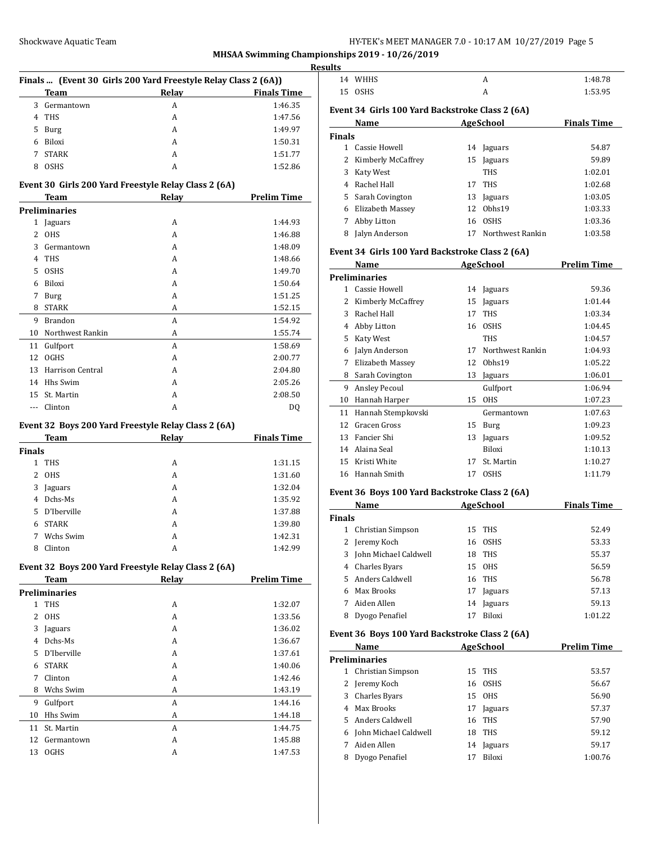|               |                      | Finals  (Event 30 Girls 200 Yard Freestyle Relay Class 2 (6A)) |                    |
|---------------|----------------------|----------------------------------------------------------------|--------------------|
|               | Team                 | Relay                                                          | <b>Finals Time</b> |
| 3             | Germantown           | A                                                              | 1:46.35            |
|               | 4 THS                | A                                                              | 1:47.56            |
|               | 5 Burg               | A                                                              | 1:49.97            |
|               | 6 Biloxi             | A                                                              | 1:50.31            |
| 7             | <b>STARK</b>         | A                                                              | 1:51.77            |
|               | 8 OSHS               | A                                                              | 1:52.86            |
|               |                      | Event 30 Girls 200 Yard Freestyle Relay Class 2 (6A)           |                    |
|               | Team                 | <b>Relay</b>                                                   | <b>Prelim Time</b> |
|               | <b>Preliminaries</b> |                                                                |                    |
|               | 1 Jaguars            | A                                                              | 1:44.93            |
|               | 2 OHS                | A                                                              | 1:46.88            |
|               | 3 Germantown         | A                                                              | 1:48.09            |
|               | 4 THS                | A                                                              | 1:48.66            |
|               | 5 OSHS               | A                                                              | 1:49.70            |
|               | 6 Biloxi             | A                                                              | 1:50.64            |
|               | 7 Burg               | A                                                              | 1:51.25            |
|               | 8 STARK              | A                                                              | 1:52.15            |
|               | 9 Brandon            | A                                                              | 1:54.92            |
|               | 10 Northwest Rankin  | A                                                              | 1:55.74            |
|               | 11 Gulfport          | A                                                              | 1:58.69            |
|               | 12 OGHS              | A                                                              | 2:00.77            |
|               | 13 Harrison Central  | A                                                              | 2:04.80            |
|               | 14 Hhs Swim          | A                                                              | 2:05.26            |
|               | 15 St. Martin        | A                                                              | 2:08.50            |
|               | --- Clinton          | A                                                              | DQ                 |
|               |                      |                                                                |                    |
|               |                      | Event 32 Boys 200 Yard Freestyle Relay Class 2 (6A)            |                    |
|               | Team                 | <b>Relay</b>                                                   | <b>Finals Time</b> |
| <b>Finals</b> |                      |                                                                |                    |
|               | 1 THS                | A                                                              | 1:31.15            |
|               | 2 OHS                | A                                                              | 1:31.60            |
|               | 3 Jaguars            | A                                                              | 1:32.04            |
|               | 4 Dchs-Ms            | A                                                              | 1:35.92            |
| 5.            | D'Iberville          | A                                                              | 1:37.88            |
| 6             | <b>STARK</b>         | A                                                              | 1:39.80            |
| 7             | Wchs Swim            | А                                                              | 1:42.31            |
| 8             | Clinton              | A                                                              | 1:42.99            |
|               |                      | Event 32 Boys 200 Yard Freestyle Relay Class 2 (6A)            |                    |
|               | <b>Team</b>          | <b>Relay</b>                                                   | <b>Prelim Time</b> |
|               | <b>Preliminaries</b> |                                                                |                    |
| $\mathbf{1}$  | THS                  | A                                                              | 1:32.07            |
| 2             | <b>OHS</b>           | А                                                              | 1:33.56            |
| 3             | Jaguars              | А                                                              | 1:36.02            |
|               | 4 Dchs-Ms            | А                                                              | 1:36.67            |
|               | 5 D'Iberville        | А                                                              | 1:37.61            |
|               | 6 STARK              | A                                                              | 1:40.06            |
| 7             | Clinton              | A                                                              | 1:42.46            |
| 8             | Wchs Swim            | A                                                              | 1:43.19            |
| 9             | Gulfport             | A                                                              | 1:44.16            |
| 10            | Hhs Swim             | A                                                              | 1:44.18            |
|               | 11 St. Martin        | A                                                              | 1:44.75            |
| 12            | Germantown           | A                                                              | 1:45.88            |
| 13            | <b>OGHS</b>          | А                                                              | 1:47.53            |
|               |                      |                                                                |                    |
|               |                      |                                                                |                    |

|               | 14 WHHS                                         |    | A                     | 1:48.78                                                                                      |
|---------------|-------------------------------------------------|----|-----------------------|----------------------------------------------------------------------------------------------|
|               | 15 OSHS                                         |    | A                     | 1:53.95                                                                                      |
|               | Event 34 Girls 100 Yard Backstroke Class 2 (6A) |    |                       |                                                                                              |
|               | Name                                            |    | AgeSchool Finals Time |                                                                                              |
| Finals        |                                                 |    |                       |                                                                                              |
|               | 1 Cassie Howell                                 |    | 14 Jaguars            | 54.87                                                                                        |
|               | 2 Kimberly McCaffrey                            |    | 15 Jaguars            | 59.89                                                                                        |
|               | 3 Katy West                                     |    | <b>THS</b>            | 1:02.01                                                                                      |
|               | 4 Rachel Hall                                   |    | 17 THS                | 1:02.68                                                                                      |
|               | 5 Sarah Covington                               |    | 13 Jaguars            | 1:03.05                                                                                      |
|               | 6 Elizabeth Massey                              |    | 12 Obhs19             | 1:03.33                                                                                      |
|               | 7 Abby Litton                                   |    | 16 OSHS               | 1:03.36                                                                                      |
|               | 8 Jalyn Anderson                                |    | 17 Northwest Rankin   | 1:03.58                                                                                      |
|               |                                                 |    |                       |                                                                                              |
|               | Event 34 Girls 100 Yard Backstroke Class 2 (6A) |    |                       |                                                                                              |
|               | Name                                            |    | AgeSchool 2008        | <b>Prelim Time</b>                                                                           |
|               | <b>Preliminaries</b>                            |    |                       |                                                                                              |
|               | 1 Cassie Howell                                 |    | 14 Jaguars            | 59.36                                                                                        |
|               | 2 Kimberly McCaffrey                            |    | 15 Jaguars            | 1:01.44                                                                                      |
|               | 3 Rachel Hall                                   |    | 17 THS                | 1:03.34                                                                                      |
|               | 4 Abby Litton                                   |    | 16 OSHS               | 1:04.45                                                                                      |
|               | 5 Katy West                                     |    | <b>THS</b>            | 1:04.57                                                                                      |
|               | 6 Jalyn Anderson                                |    | 17 Northwest Rankin   | 1:04.93                                                                                      |
|               | 7 Elizabeth Massey                              |    | 12 Obhs19             | 1:05.22                                                                                      |
|               | 8 Sarah Covington                               |    | 13 Jaguars            | 1:06.01                                                                                      |
|               | 9 Ansley Pecoul                                 |    | Gulfport              | 1:06.94                                                                                      |
|               | 10 Hannah Harper                                |    | 15 OHS                | 1:07.23                                                                                      |
|               | 11 Hannah Stempkovski                           |    | Germantown            | 1:07.63                                                                                      |
|               | 12 Gracen Gross                                 |    | 15 Burg               | 1:09.23                                                                                      |
|               | 13 Fancier Shi                                  |    | 13 Jaguars            | 1:09.52                                                                                      |
|               | 14 Alaina Seal                                  |    | Biloxi                | 1:10.13                                                                                      |
|               | 15 Kristi White                                 |    | 17 St. Martin         | 1:10.27                                                                                      |
|               |                                                 |    | 17 OSHS               | 1:11.79                                                                                      |
|               | 16 Hannah Smith                                 |    |                       |                                                                                              |
|               | Event 36 Boys 100 Yard Backstroke Class 2 (6A)  |    |                       |                                                                                              |
|               | Name                                            |    | AgeSchool             |                                                                                              |
| <b>Finals</b> |                                                 |    |                       |                                                                                              |
|               | 1 Christian Simpson                             |    | 15 THS                |                                                                                              |
|               | 2 Jeremy Koch                                   |    | 16 OSHS               |                                                                                              |
|               | 3 John Michael Caldwell                         | 18 | THS                   |                                                                                              |
|               | 4 Charles Byars                                 |    | 15 OHS                |                                                                                              |
|               | 5 Anders Caldwell                               |    | 16 THS                |                                                                                              |
|               | 6 Max Brooks                                    |    | 17 Jaguars            |                                                                                              |
|               | 7 Aiden Allen                                   |    | 14 Jaguars            |                                                                                              |
|               | 8 Dyogo Penafiel                                | 17 | Biloxi                | <b>Finals Time</b><br>52.49<br>53.33<br>55.37<br>56.59<br>56.78<br>57.13<br>59.13<br>1:01.22 |
|               | Event 36 Boys 100 Yard Backstroke Class 2 (6A)  |    |                       |                                                                                              |
|               | Name                                            |    | <b>AgeSchool</b>      | <b>Prelim Time</b>                                                                           |
|               | <b>Preliminaries</b>                            |    |                       |                                                                                              |
|               | 1 Christian Simpson                             | 15 | THS                   |                                                                                              |
|               | 2 Jeremy Koch                                   |    | 16 OSHS               |                                                                                              |
|               | 3 Charles Byars                                 |    | 15 OHS                |                                                                                              |
|               | 4 Max Brooks                                    |    | 17 Jaguars            |                                                                                              |
|               | 5 Anders Caldwell                               |    | 16 THS                |                                                                                              |
|               | 6 John Michael Caldwell                         |    | 18 THS                | 53.57<br>56.67<br>56.90<br>57.37<br>57.90<br>59.12                                           |
|               | 7 Aiden Allen                                   | 14 | Jaguars               | 59.17                                                                                        |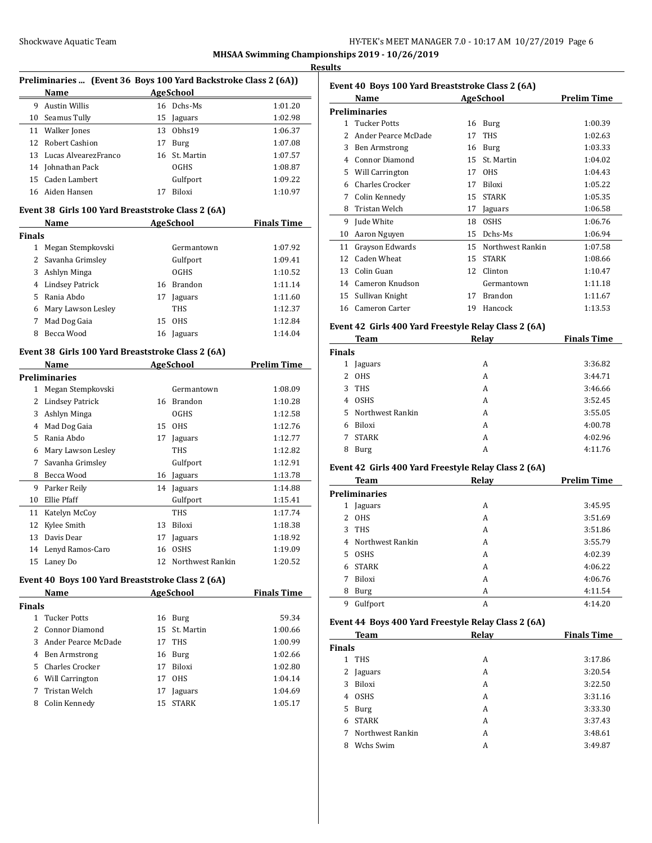**MHSAA Swimming Championships 2019 - 10/26/2019 Results**

 $\overline{a}$ 

| Preliminaries  (Event 36 Boys 100 Yard Backstroke Class 2 (6A)) |                                                   |    |                     |                    |  |
|-----------------------------------------------------------------|---------------------------------------------------|----|---------------------|--------------------|--|
|                                                                 | Name                                              |    | <b>AgeSchool</b>    |                    |  |
| 9                                                               | <b>Austin Willis</b>                              |    | 16 Dchs-Ms          | 1:01.20            |  |
| 10                                                              | Seamus Tully                                      | 15 | Jaguars             | 1:02.98            |  |
| 11                                                              | Walker Jones                                      |    | 13 Obhs19           | 1:06.37            |  |
| 12                                                              | Robert Cashion                                    |    | 17 Burg             | 1:07.08            |  |
|                                                                 | 13 Lucas AlvearezFranco                           |    | 16 St. Martin       | 1:07.57            |  |
| 14                                                              | Johnathan Pack                                    |    | <b>OGHS</b>         | 1:08.87            |  |
| 15                                                              | Caden Lambert                                     |    | Gulfport            | 1:09.22            |  |
| 16                                                              | Aiden Hansen                                      | 17 | Biloxi              | 1:10.97            |  |
|                                                                 | Event 38 Girls 100 Yard Breaststroke Class 2 (6A) |    |                     |                    |  |
|                                                                 | Name                                              |    | <b>AgeSchool</b>    | <b>Finals Time</b> |  |
| Finals                                                          |                                                   |    |                     |                    |  |
| 1                                                               | Megan Stempkovski                                 |    | Germantown          | 1:07.92            |  |
| 2                                                               | Savanha Grimsley                                  |    | Gulfport            | 1:09.41            |  |
| 3                                                               | Ashlyn Minga                                      |    | <b>OGHS</b>         | 1:10.52            |  |
|                                                                 | 4 Lindsey Patrick                                 |    | 16 Brandon          | 1:11.14            |  |
|                                                                 | 5 Rania Abdo                                      |    | 17 Jaguars          | 1:11.60            |  |
|                                                                 | 6 Mary Lawson Lesley                              |    | THS                 | 1:12.37            |  |
| 7                                                               | Mad Dog Gaia                                      |    | 15 OHS              | 1:12.84            |  |
| 8                                                               | Becca Wood                                        |    | 16 Jaguars          | 1:14.04            |  |
|                                                                 | Event 38 Girls 100 Yard Breaststroke Class 2 (6A) |    |                     |                    |  |
|                                                                 | Name                                              |    | AgeSchool           | <b>Prelim Time</b> |  |
|                                                                 | Preliminaries                                     |    |                     |                    |  |
| 1                                                               | Megan Stempkovski                                 |    | Germantown          | 1:08.09            |  |
| 2                                                               | <b>Lindsey Patrick</b>                            |    | 16 Brandon          | 1:10.28            |  |
| 3                                                               | Ashlyn Minga                                      |    | <b>OGHS</b>         | 1:12.58            |  |
| 4                                                               | Mad Dog Gaia                                      |    | 15 OHS              | 1:12.76            |  |
| 5                                                               | Rania Abdo                                        |    | 17 Jaguars          | 1:12.77            |  |
| 6                                                               | Mary Lawson Lesley                                |    | THS                 | 1:12.82            |  |
| 7                                                               | Savanha Grimsley                                  |    | Gulfport            | 1:12.91            |  |
| 8                                                               | Becca Wood                                        | 16 | Jaguars             | 1:13.78            |  |
| 9                                                               | Parker Reily                                      | 14 | Jaguars             | 1:14.88            |  |
| 10                                                              | Ellie Pfaff                                       |    | Gulfport            | 1:15.41            |  |
| 11                                                              | Katelyn McCoy                                     |    | THS                 | 1:17.74            |  |
| 12                                                              | Kylee Smith                                       |    | 13 Biloxi           | 1:18.38            |  |
| 13                                                              | Davis Dear                                        |    | 17 Jaguars          | 1:18.92            |  |
|                                                                 | 14 Lenyd Ramos-Caro                               |    | 16 OSHS             | 1:19.09            |  |
|                                                                 | 15 Laney Do                                       |    | 12 Northwest Rankin | 1:20.52            |  |
|                                                                 | Event 40 Boys 100 Yard Breaststroke Class 2 (6A)  |    |                     |                    |  |
|                                                                 | Name                                              |    | <b>AgeSchool</b>    | <b>Finals Time</b> |  |
| Finals                                                          |                                                   |    |                     |                    |  |
| $\mathbf{1}$                                                    | <b>Tucker Potts</b>                               |    | 16 Burg             | 59.34              |  |
| 2                                                               | <b>Connor Diamond</b>                             | 15 | St. Martin          | 1:00.66            |  |
| 3                                                               | Ander Pearce McDade                               |    | 17 THS              | 1:00.99            |  |
|                                                                 | 4 Ben Armstrong                                   |    | 16 Burg             | 1:02.66            |  |
|                                                                 | 5 Charles Crocker                                 |    | 17 Biloxi           | 1:02.80            |  |
|                                                                 | 6 Will Carrington                                 |    | 17 OHS              | 1:04.14            |  |
| 7                                                               | Tristan Welch                                     | 17 | Jaguars             | 1:04.69            |  |
| 8                                                               | Colin Kennedy                                     | 15 | <b>STARK</b>        | 1:05.17            |  |
|                                                                 |                                                   |    |                     |                    |  |

| Event 40 Boys 100 Yard Breaststroke Class 2 (6A) |                        |    |                  |                    |  |
|--------------------------------------------------|------------------------|----|------------------|--------------------|--|
|                                                  | Name                   |    | AgeSchool        | <b>Prelim Time</b> |  |
|                                                  | Preliminaries          |    |                  |                    |  |
| 1                                                | <b>Tucker Potts</b>    | 16 | Burg             | 1:00.39            |  |
| 2                                                | Ander Pearce McDade    | 17 | <b>THS</b>       | 1:02.63            |  |
| 3                                                | Ben Armstrong          | 16 | Burg             | 1:03.33            |  |
| 4                                                | Connor Diamond         | 15 | St. Martin       | 1:04.02            |  |
| 5                                                | <b>Will Carrington</b> | 17 | <b>OHS</b>       | 1:04.43            |  |
| 6                                                | Charles Crocker        | 17 | <b>Biloxi</b>    | 1:05.22            |  |
| 7                                                | Colin Kennedy          | 15 | <b>STARK</b>     | 1:05.35            |  |
| 8                                                | Tristan Welch          | 17 | Jaguars          | 1:06.58            |  |
| 9                                                | Jude White             | 18 | <b>OSHS</b>      | 1:06.76            |  |
| 10                                               | Aaron Nguyen           | 15 | Dchs-Ms          | 1:06.94            |  |
| 11                                               | Grayson Edwards        | 15 | Northwest Rankin | 1:07.58            |  |
| 12                                               | Caden Wheat            | 15 | <b>STARK</b>     | 1:08.66            |  |
| 13                                               | Colin Guan             | 12 | Clinton          | 1:10.47            |  |
| 14                                               | Cameron Knudson        |    | Germantown       | 1:11.18            |  |
| 15                                               | Sullivan Knight        | 17 | <b>Brandon</b>   | 1:11.67            |  |
| 16                                               | Cameron Carter         | 19 | Hancock          | 1:13.53            |  |
|                                                  |                        |    |                  |                    |  |

#### **Event 42 Girls 400 Yard Freestyle Relay Class 2 (6A)**

|   | Team               | Relay | <b>Finals Time</b> |  |  |  |  |
|---|--------------------|-------|--------------------|--|--|--|--|
|   | <b>Finals</b>      |       |                    |  |  |  |  |
| 1 | Jaguars            | A     | 3:36.82            |  |  |  |  |
| 2 | <b>OHS</b>         | A     | 3:44.71            |  |  |  |  |
| 3 | <b>THS</b>         | A     | 3:46.66            |  |  |  |  |
| 4 | <b>OSHS</b>        | A     | 3:52.45            |  |  |  |  |
|   | 5 Northwest Rankin | A     | 3:55.05            |  |  |  |  |
| 6 | Biloxi             | A     | 4:00.78            |  |  |  |  |
| 7 | <b>STARK</b>       | A     | 4:02.96            |  |  |  |  |
| 8 | Burg               | A     | 4:11.76            |  |  |  |  |

#### **Event 42 Girls 400 Yard Freestyle Relay Class 2 (6A)**

|    | <b>Team</b>      | Relay | <b>Prelim Time</b> |
|----|------------------|-------|--------------------|
|    | Preliminaries    |       |                    |
| 1  | Jaguars          | A     | 3:45.95            |
| 2  | <b>OHS</b>       | A     | 3:51.69            |
| 3  | <b>THS</b>       | A     | 3:51.86            |
| 4  | Northwest Rankin | A     | 3:55.79            |
| 5. | <b>OSHS</b>      | A     | 4:02.39            |
| 6  | <b>STARK</b>     | A     | 4:06.22            |
| 7  | <b>Biloxi</b>    | A     | 4:06.76            |
| 8  | Burg             | A     | 4:11.54            |
| 9  | Gulfport         | A     | 4:14.20            |

#### **Event 44 Boys 400 Yard Freestyle Relay Class 2 (6A)**

|   | Team             | Relay | <b>Finals Time</b> |  |  |  |  |
|---|------------------|-------|--------------------|--|--|--|--|
|   | <b>Finals</b>    |       |                    |  |  |  |  |
| 1 | <b>THS</b>       | A     | 3:17.86            |  |  |  |  |
| 2 | Jaguars          | A     | 3:20.54            |  |  |  |  |
| 3 | Biloxi           | A     | 3:22.50            |  |  |  |  |
| 4 | <b>OSHS</b>      | A     | 3:31.16            |  |  |  |  |
| 5 | Burg             | A     | 3:33.30            |  |  |  |  |
| 6 | <b>STARK</b>     | A     | 3:37.43            |  |  |  |  |
| 7 | Northwest Rankin | A     | 3:48.61            |  |  |  |  |
| 8 | Wchs Swim        | A     | 3:49.87            |  |  |  |  |